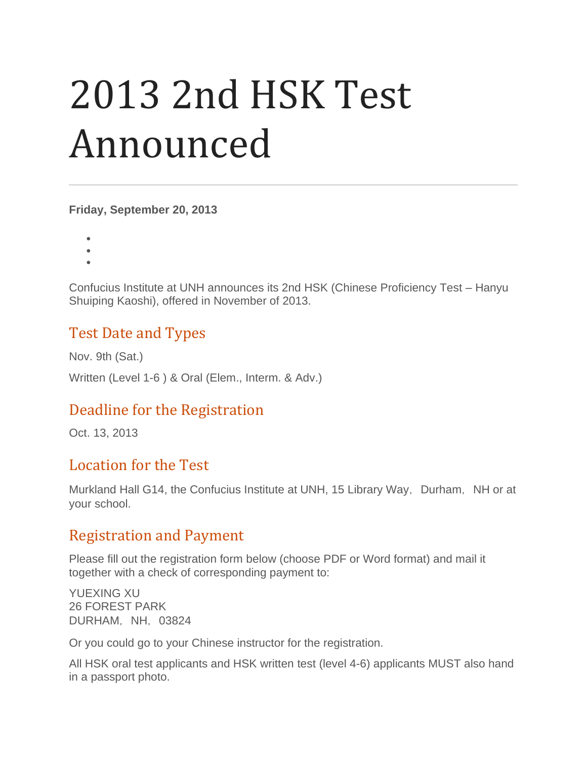# 2013 2nd HSK Test Announced

**Friday, September 20, 2013**

- •
- •
- •

Confucius Institute at UNH announces its 2nd HSK (Chinese Proficiency Test – Hanyu Shuiping Kaoshi), offered in November of 2013.

## Test Date and Types

Nov. 9th (Sat.)

Written (Level 1-6 ) & Oral (Elem., Interm. & Adv.)

## Deadline for the Registration

Oct. 13, 2013

### Location for the Test

Murkland Hall G14, the Confucius Institute at UNH, 15 Library Way, Durham, NH or at your school.

### Registration and Payment

Please fill out the registration form below (choose PDF or Word format) and mail it together with a check of corresponding payment to:

YUEXING XU 26 FOREST PARK DURHAM, NH, 03824

Or you could go to your Chinese instructor for the registration.

All HSK oral test applicants and HSK written test (level 4-6) applicants MUST also hand in a passport photo.